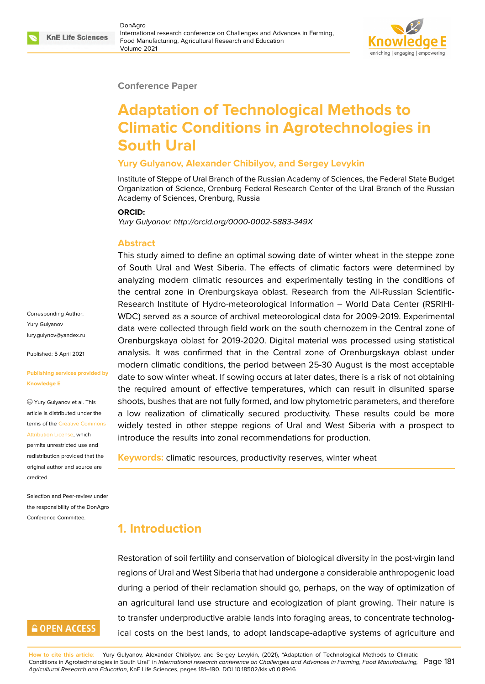



DonAgro International research conference on Challenges and Advances in Farming, Food Manufacturing, Agricultural Research and Education Volume 2021



#### **Conference Paper**

# **Adaptation of Technological Methods to Climatic Conditions in Agrotechnologies in South Ural**

#### **Yury Gulyanov, Alexander Chibilyov, and Sergey Levykin**

Institute of Steppe of Ural Branch of the Russian Academy of Sciences, the Federal State Budget Organization of Science, Orenburg Federal Research Center of the Ural Branch of the Russian Academy of Sciences, Orenburg, Russia

#### **ORCID:**

*Yury Gulyanov: http://orcid.org/0000-0002-5883-349X*

#### **Abstract**

This study aimed to define an optimal sowing date of winter wheat in the steppe zone of South Ural and West Siberia. The effects of climatic factors were determined by analyzing modern climatic resources and experimentally testing in the conditions of the central zone in Orenburgskaya oblast. Research from the All-Russian Scientific-Research Institute of Hydro-meteorological Information – World Data Center (RSRIHI-WDC) served as a source of archival meteorological data for 2009-2019. Experimental data were collected through field work on the south chernozem in the Central zone of Orenburgskaya oblast for 2019-2020. Digital material was processed using statistical analysis. It was confirmed that in the Central zone of Orenburgskaya oblast under modern climatic conditions, the period between 25-30 August is the most acceptable date to sow winter wheat. If sowing occurs at later dates, there is a risk of not obtaining the required amount of effective temperatures, which can result in disunited sparse shoots, bushes that are not fully formed, and low phytometric parameters, and therefore a low realization of climatically secured productivity. These results could be more widely tested in other steppe regions of Ural and West Siberia with a prospect to introduce the results into zonal recommendations for production.

**Keywords:** climatic resources, productivity reserves, winter wheat

## **1. Introduction**

Restoration of soil fertility and conservation of biological diversity in the post-virgin land regions of Ural and West Siberia that had undergone a considerable anthropogenic load during a period of their reclamation should go, perhaps, on the way of optimization of an agricultural land use structure and ecologization of plant growing. Their nature is to transfer underproductive arable lands into foraging areas, to concentrate technological costs on the best lands, to adopt landscape-adaptive systems of agriculture and

Corresponding Author: Yury Gulyanov [iury.gulynov@yandex.ru](mailto:iury.gulynov@yandex.ru)

Published: 5 April 2021

**Publishing services provided by Knowledge E**

Yury Gulyanov et al. This article is distributed under the terms of the [Creative Commons](https://creativecommons.org/licenses/by/4.0/) [Attribution License](https://creativecommons.org/licenses/by/4.0/), which permits unrestricted use and redistribution provided that the original author and source are credited.

Selection and Peer-review under the responsibility of the DonAgro Conference Committee.

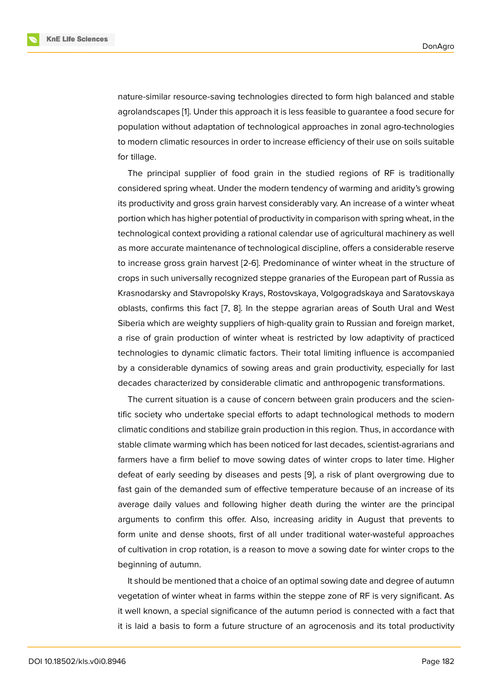nature-similar resource-saving technologies directed to form high balanced and stable agrolandscapes [\[1\]](#page-8-0). Under this approach it is less feasible to guarantee a food secure for population without adaptation of technological approaches in zonal agro-technologies to modern climatic resources in order to increase efficiency of their use on soils suitable for tillage.

The principal supplier of food grain in the studied regions of RF is traditionally considered spring wheat. Under the modern tendency of warming and aridity's growing its productivity and gross grain harvest considerably vary. An increase of a winter wheat portion which has higher potential of productivity in comparison with spring wheat, in the technological context providing a rational calendar use of agricultural machinery as well as more accurate maintenance of technological discipline, offers a considerable reserve to increase gross grain harvest [2-6]. Predominance of winter wheat in the structure of crops in such universally recognized steppe granaries of the European part of Russia as Krasnodarsky and Stavropolsky Krays, Rostovskaya, Volgogradskaya and Saratovskaya oblasts, confirms this fact [[7](#page-9-0), [8\]](#page-9-1). In the steppe agrarian areas of South Ural and West Siberia which are weighty suppliers of high-quality grain to Russian and foreign market, a rise of grain production of winter wheat is restricted by low adaptivity of practiced technologies to dynamic climatic factors. Their total limiting influence is accompanied by a considerable dynamics of sowing areas and grain productivity, especially for last decades characterized by considerable climatic and anthropogenic transformations.

The current situation is a cause of concern between grain producers and the scientific society who undertake special efforts to adapt technological methods to modern climatic conditions and stabilize grain production in this region. Thus, in accordance with stable climate warming which has been noticed for last decades, scientist-agrarians and farmers have a firm belief to move sowing dates of winter crops to later time. Higher defeat of early seeding by diseases and pests [[9](#page-9-2)], a risk of plant overgrowing due to fast gain of the demanded sum of effective temperature because of an increase of its average daily values and following higher death during the winter are the principal arguments to confirm this offer. Also, increasing aridity in August that prevents to form unite and dense shoots, first of all under traditional water-wasteful approaches of cultivation in crop rotation, is a reason to move a sowing date for winter crops to the beginning of autumn.

It should be mentioned that a choice of an optimal sowing date and degree of autumn vegetation of winter wheat in farms within the steppe zone of RF is very significant. As it well known, a special significance of the autumn period is connected with a fact that it is laid a basis to form a future structure of an agrocenosis and its total productivity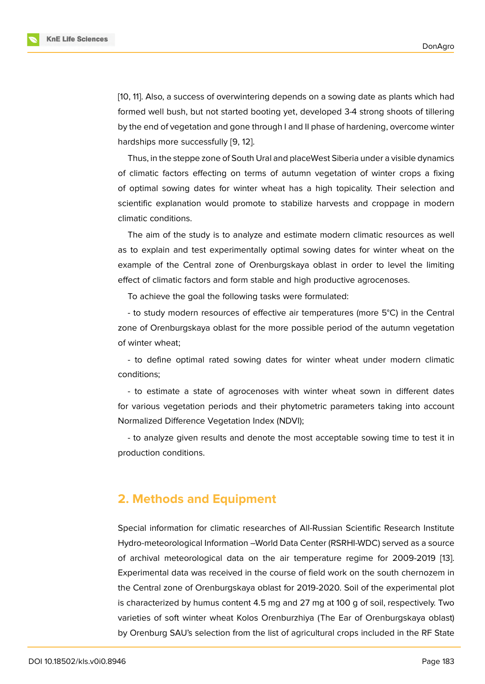

Thus, in the steppe zone of South Ural and placeWest Siberia under a visible dynamics of climatic factors effecting on terms of autumn vegetation of winter crops a fixing of optimal sowing dates for winter wheat has a high topicality. Their selection and scientific explanation would promote to stabilize harvests and croppage in modern climatic conditions.

The aim of the study is to analyze and estimate modern climatic resources as well as to explain and test experimentally optimal sowing dates for winter wheat on the example of the Central zone of Orenburgskaya oblast in order to level the limiting effect of climatic factors and form stable and high productive agrocenoses.

To achieve the goal the following tasks were formulated:

- to study modern resources of effective air temperatures (more 5°C) in the Central zone of Orenburgskaya oblast for the more possible period of the autumn vegetation of winter wheat;

- to define optimal rated sowing dates for winter wheat under modern climatic conditions;

- to estimate a state of agrocenoses with winter wheat sown in different dates for various vegetation periods and their phytometric parameters taking into account Normalized Difference Vegetation Index (NDVI);

- to analyze given results and denote the most acceptable sowing time to test it in production conditions.

#### **2. Methods and Equipment**

Special information for climatic researches of All-Russian Scientific Research Institute Hydro-meteorological Information –World Data Center (RSRHI-WDC) served as a source of archival meteorological data on the air temperature regime for 2009-2019 [\[13](#page-9-6)]. Experimental data was received in the course of field work on the south chernozem in the Central zone of Orenburgskaya oblast for 2019-2020. Soil of the experimental plot is characterized by humus content 4.5 mg and 27 mg at 100 g of soil, respectively. Two varieties of soft winter wheat Kolos Orenburzhiya (The Ear of Orenburgskaya oblast) by Orenburg SAU's selection from the list of agricultural crops included in the RF State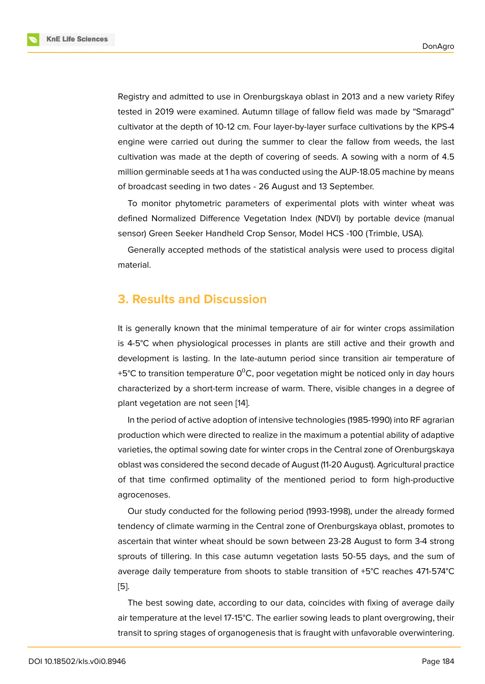

Registry and admitted to use in Orenburgskaya oblast in 2013 and a new variety Rifey tested in 2019 were examined. Autumn tillage of fallow field was made by "Smaragd" cultivator at the depth of 10-12 cm. Four layer-by-layer surface cultivations by the KPS-4 engine were carried out during the summer to clear the fallow from weeds, the last cultivation was made at the depth of covering of seeds. A sowing with a norm of 4.5 million germinable seeds at 1 ha was conducted using the AUP-18.05 machine by means of broadcast seeding in two dates - 26 August and 13 September.

To monitor phytometric parameters of experimental plots with winter wheat was defined Normalized Difference Vegetation Index (NDVI) by portable device (manual sensor) Green Seeker Handheld Crop Sensor, Model HCS -100 (Trimble, USA).

Generally accepted methods of the statistical analysis were used to process digital material.

#### **3. Results and Discussion**

It is generally known that the minimal temperature of air for winter crops assimilation is 4-5°C when physiological processes in plants are still active and their growth and development is lasting. In the late-autumn period since transition air temperature of +5°C to transition temperature  $0^0$ C, poor vegetation might be noticed only in day hours characterized by a short-term increase of warm. There, visible changes in a degree of plant vegetation are not seen [[14\]](#page-9-7).

In the period of active adoption of intensive technologies (1985-1990) into RF agrarian production which were directed to realize in the maximum a potential ability of adaptive varieties, the optimal sowing date for winter crops in the Central zone of Orenburgskaya oblast was considered the second decade of August (11-20 August). Agricultural practice of that time confirmed optimality of the mentioned period to form high-productive agrocenoses.

Our study conducted for the following period (1993-1998), under the already formed tendency of climate warming in the Central zone of Orenburgskaya oblast, promotes to ascertain that winter wheat should be sown between 23-28 August to form 3-4 strong sprouts of tillering. In this case autumn vegetation lasts 50-55 days, and the sum of average daily temperature from shoots to stable transition of +5°C reaches 471-574°C [[5](#page-9-8)].

The best sowing date, according to our data, coincides with fixing of average daily air temperature at the level 17-15°C. The earlier sowing leads to plant overgrowing, their transit to spring stages of organogenesis that is fraught with unfavorable overwintering.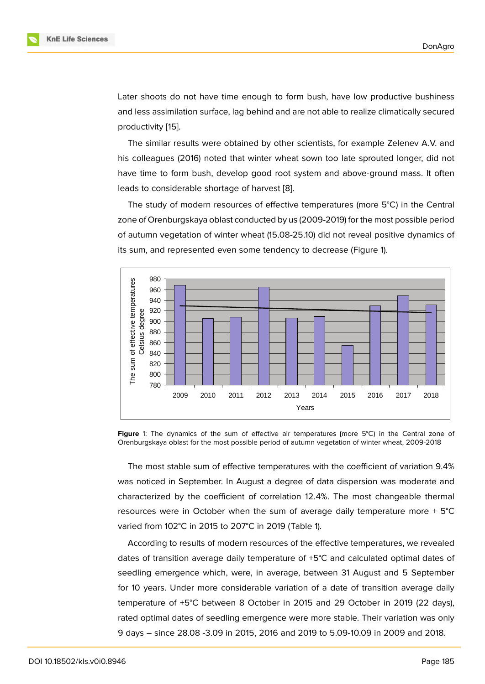Later shoots do not have time enough to form bush, have low productive bushiness and less assimilation surface, lag behind and are not able to realize climatically secured productivity [[15\]](#page-9-9).

The similar results were obtained by other scientists, for example Zelenev A.V. and his colleagues (2016) noted that winter wheat sown too late sprouted longer, did not have time to form bush, develop good root system and above-ground mass. It often leads to considerable shortage of harvest [\[8\]](#page-9-1).

The study of modern resources of effective temperatures (more 5°C) in the Central zone of Orenburgskaya oblast conducted by us (2009-2019) for the most possible period of autumn vegetation of winter wheat (15.08-25.10) did not reveal positive dynamics of its sum, and represented even some tendency to decrease (Figure [1](#page-4-0)).



<span id="page-4-0"></span>**Figure** 1: The dynamics of the sum of effective air temperatures **(**more 5°C) in the Central zone of Orenburgskaya oblast for the most possible period of autumn vegetation of winter wheat, 2009-2018

The most stable sum of effective temperatures with the coefficient of variation 9.4% was noticed in September. In August a degree of data dispersion was moderate and characterized by the coefficient of correlation 12.4%. The most changeable thermal resources were in October when the sum of average daily temperature more + 5°C varied from 102°C in 2015 to 207°C in 2019 (Table 1).

According to results of modern resources of the effective temperatures, we revealed dates of transition average daily temperature of +5°C and calculated optimal dates of seedling emergence which, were, in average, between 31 August and 5 September for 10 years. Under more considerable variation of a date of transition average daily temperature of +5°C between 8 October in 2015 and 29 October in 2019 (22 days), rated optimal dates of seedling emergence were more stable. Their variation was only 9 days – since 28.08 -3.09 in 2015, 2016 and 2019 to 5.09-10.09 in 2009 and 2018.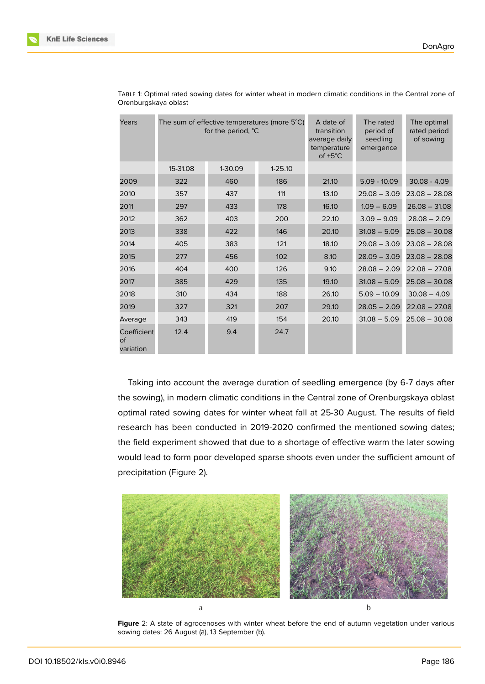

| Years                                 | The sum of effective temperatures (more 5°C)<br>for the period, °C |         |             | A date of<br>transition<br>average daily<br>temperature<br>of $+5^{\circ}$ C | The rated<br>period of<br>seedling<br>emergence | The optimal<br>rated period<br>of sowing |
|---------------------------------------|--------------------------------------------------------------------|---------|-------------|------------------------------------------------------------------------------|-------------------------------------------------|------------------------------------------|
|                                       | 15-31.08                                                           | 1-30.09 | $1 - 25.10$ |                                                                              |                                                 |                                          |
| 2009                                  | 322                                                                | 460     | 186         | 21.10                                                                        | $5.09 - 10.09$                                  | $30.08 - 4.09$                           |
| 2010                                  | 357                                                                | 437     | 111         | 13.10                                                                        | $29.08 - 3.09$                                  | $23.08 - 28.08$                          |
| 2011                                  | 297                                                                | 433     | 178         | 16.10                                                                        | $1.09 - 6.09$                                   | $26.08 - 31.08$                          |
| 2012                                  | 362                                                                | 403     | 200         | 22.10                                                                        | $3.09 - 9.09$                                   | $28.08 - 2.09$                           |
| 2013                                  | 338                                                                | 422     | 146         | 20.10                                                                        | $31.08 - 5.09$                                  | $25.08 - 30.08$                          |
| 2014                                  | 405                                                                | 383     | 121         | 18.10                                                                        | $29.08 - 3.09$                                  | $23.08 - 28.08$                          |
| 2015                                  | 277                                                                | 456     | 102         | 8.10                                                                         | $28.09 - 3.09$                                  | $23.08 - 28.08$                          |
| 2016                                  | 404                                                                | 400     | 126         | 9.10                                                                         | $28.08 - 2.09$                                  | $22.08 - 27.08$                          |
| 2017                                  | 385                                                                | 429     | 135         | 19.10                                                                        | $31.08 - 5.09$                                  | $25.08 - 30.08$                          |
| 2018                                  | 310                                                                | 434     | 188         | 26.10                                                                        | $5.09 - 10.09$                                  | $30.08 - 4.09$                           |
| 2019                                  | 327                                                                | 321     | 207         | 29.10                                                                        | $28.05 - 2.09$                                  | $22.08 - 27.08$                          |
| Average                               | 343                                                                | 419     | 154         | 20.10                                                                        | $31.08 - 5.09$                                  | $25.08 - 30.08$                          |
| Coefficient<br><b>of</b><br>variation | 12.4                                                               | 9.4     | 24.7        |                                                                              |                                                 |                                          |

TABLE 1: Optimal rated sowing dates for winter wheat in modern climatic conditions in the Central zone of Orenburgskaya oblast

Taking into account the average duration of seedling emergence (by 6-7 days after the sowing), in modern climatic conditions in the Central zone of Orenburgskaya oblast optimal rated sowing dates for winter wheat fall at 25-30 August. The results of field research has been conducted in 2019-2020 confirmed the mentioned sowing dates; the field experiment showed that due to a shortage of effective warm the later sowing would lead to form poor developed sparse shoots even under the sufficient amount of precipitation (Figure [2](#page-5-0)).

<span id="page-5-0"></span>

**Figure** 2: A state of agrocenoses with winter wheat before the end of autumn vegetation under various sowing dates: 26 August (a), 13 September (b).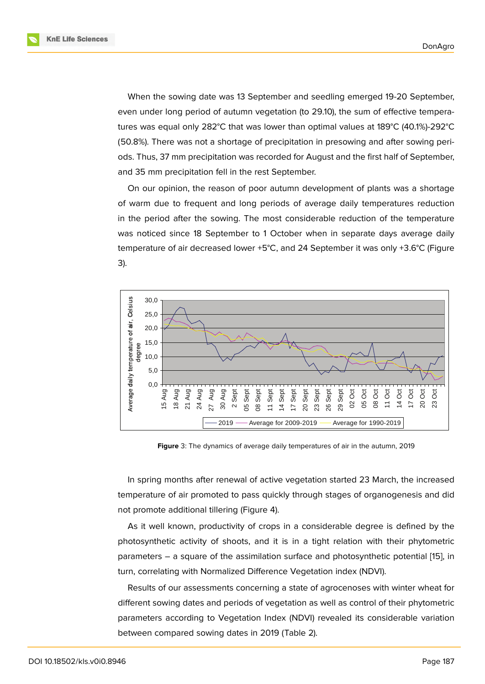

When the sowing date was 13 September and seedling emerged 19-20 September, even under long period of autumn vegetation (to 29.10), the sum of effective temperatures was equal only 282°C that was lower than optimal values at 189°C (40.1%)-292°C (50.8%). There was not a shortage of precipitation in presowing and after sowing periods. Thus, 37 mm precipitation was recorded for August and the first half of September, and 35 mm precipitation fell in the rest September.

On our opinion, the reason of poor autumn development of plants was a shortage of warm due to frequent and long periods of average daily temperatures reduction in the period after the sowing. The most considerable reduction of the temperature was noticed since 18 September to 1 October when in separate days average daily temperature of air decreased lower +5°C, and 24 September it was only +3.6°C (Figure [3](#page-6-0)).



<span id="page-6-0"></span>**Figure** 3: The dynamics of average daily temperatures of air in the autumn, 2019

In spring months after renewal of active vegetation started 23 March, the increased temperature of air promoted to pass quickly through stages of organogenesis and did not promote additional tillering (Figure [4](#page-7-0)).

As it well known, productivity of crops in a considerable degree is defined by the photosynthetic activity of shoots, and it is in a tight relation with their phytometric parameters – a square of the assimilation surface and photosynthetic potential [[15](#page-9-9)], in turn, correlating with Normalized Difference Vegetation index (NDVI).

Results of our assessments concerning a state of agrocenoses with winter wheat for different sowing dates and periods of vegetation as well as control of their phytometric parameters according to Vegetation Index (NDVI) revealed its considerable variation between compared sowing dates in 2019 (Table 2).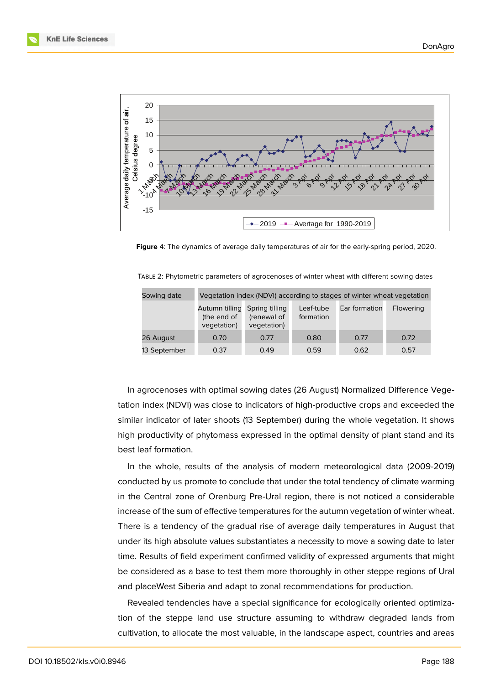

<span id="page-7-0"></span>**Figure** 4: The dynamics of average daily temperatures of air for the early-spring period, 2020.

| Sowing date  | Vegetation index (NDVI) according to stages of winter wheat vegetation |                            |                        |               |           |  |  |
|--------------|------------------------------------------------------------------------|----------------------------|------------------------|---------------|-----------|--|--|
|              | Autumn tilling Spring tilling<br>(the end of<br>vegetation)            | (renewal of<br>vegetation) | Leaf-tube<br>formation | Ear formation | Flowering |  |  |
| 26 August    | 0.70                                                                   | 0.77                       | 0.80                   | 0.77          | 0.72      |  |  |
| 13 September | 0.37                                                                   | 0.49                       | 0.59                   | 0.62          | 0.57      |  |  |

TABLE 2: Phytometric parameters of agrocenoses of winter wheat with different sowing dates

In agrocenoses with optimal sowing dates (26 August) Normalized Difference Vegetation index (NDVI) was close to indicators of high-productive crops and exceeded the similar indicator of later shoots (13 September) during the whole vegetation. It shows high productivity of phytomass expressed in the optimal density of plant stand and its best leaf formation.

In the whole, results of the analysis of modern meteorological data (2009-2019) conducted by us promote to conclude that under the total tendency of climate warming in the Central zone of Orenburg Pre-Ural region, there is not noticed a considerable increase of the sum of effective temperatures for the autumn vegetation of winter wheat. There is a tendency of the gradual rise of average daily temperatures in August that under its high absolute values substantiates a necessity to move a sowing date to later time. Results of field experiment confirmed validity of expressed arguments that might be considered as a base to test them more thoroughly in other steppe regions of Ural and placeWest Siberia and adapt to zonal recommendations for production.

Revealed tendencies have a special significance for ecologically oriented optimization of the steppe land use structure assuming to withdraw degraded lands from cultivation, to allocate the most valuable, in the landscape aspect, countries and areas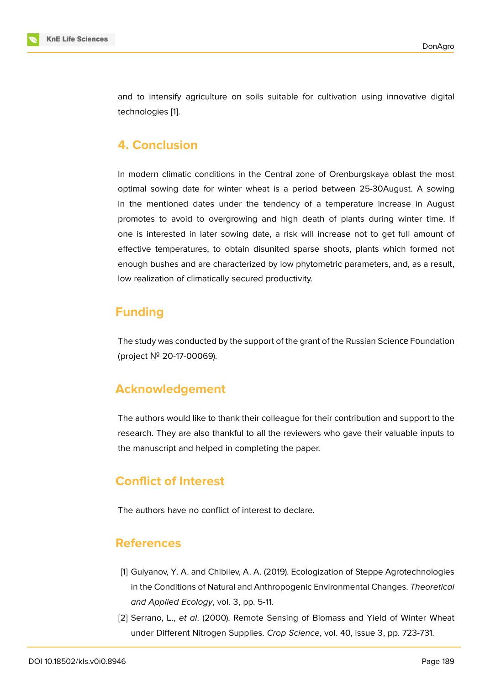

and to intensify agriculture on soils suitable for cultivation using innovative digital technologies [[1](#page-8-0)].

## **4. Conclusion**

In modern climatic conditions in the Central zone of Orenburgskaya oblast the most optimal sowing date for winter wheat is a period between 25-30August. A sowing in the mentioned dates under the tendency of a temperature increase in August promotes to avoid to overgrowing and high death of plants during winter time. If one is interested in later sowing date, a risk will increase not to get full amount of effective temperatures, to obtain disunited sparse shoots, plants which formed not enough bushes and are characterized by low phytometric parameters, and, as a result, low realization of climatically secured productivity.

# **Funding**

The study was conducted by the support of the grant of the Russian Scienсе Fоundation (project № 20-17-00069).

## **Acknowledgement**

The authors would like to thank their colleague for their contribution and support to the research. They are also thankful to all the reviewers who gave their valuable inputs to the manuscript and helped in completing the paper.

## **Conflict of Interest**

The authors have no conflict of interest to declare.

#### **References**

- <span id="page-8-0"></span>[1] Gulyanov, Y. A. and Chibilev, A. A. (2019). Ecologization of Steppe Agrotechnologies in the Conditions of Natural and Anthropogenic Environmental Changes. *Theoretical and Applied Ecology*, vol. 3, pp. 5-11.
- [2] Serrano, L., *et al*. (2000). Remote Sensing of Biomass and Yield of Winter Wheat under Different Nitrogen Supplies. *Crop Science*, vol. 40, issue 3, pp. 723-731.